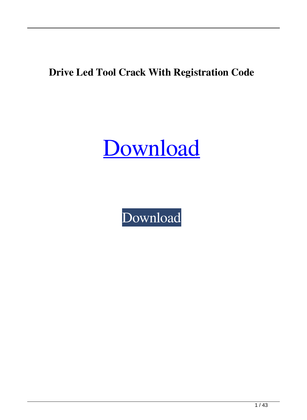#### **Drive Led Tool Crack With Registration Code**

[Download](http://evacdir.com/RHJpdmUgTGVkIFRvb2wRHJ.frigate/luring/photodamage/ZG93bmxvYWR8Tkg2Wm00MmZId3hOalUwTkRNMk5qVTRmSHd5TlRrd2ZId29UU2tnVjI5eVpIQnlaWE56SUZ0WVRVeFNVRU1nVmpJZ1VFUkdYUQ/proust?clueless=merging)

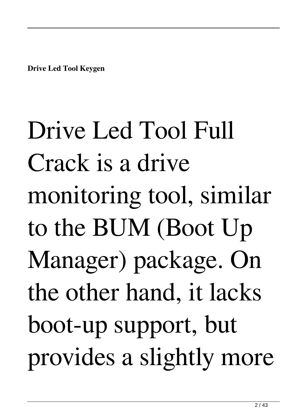**Drive Led Tool Keygen**

Drive Led Tool Full Crack is a drive monitoring tool, similar to the BUM (Boot Up Manager) package. On the other hand, it lacks boot-up support, but provides a slightly more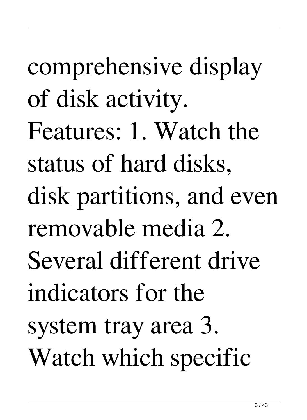comprehensive display of disk activity. Features: 1. Watch the status of hard disks, disk partitions, and even removable media 2. Several different drive indicators for the system tray area 3. Watch which specific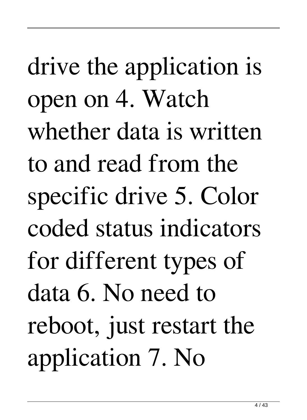drive the application is open on 4. Watch whether data is written to and read from the specific drive 5. Color coded status indicators for different types of data 6. No need to reboot, just restart the application 7. No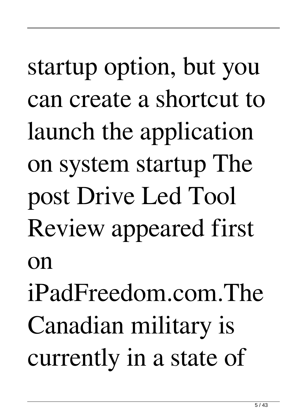## startup option, but you can create a shortcut to launch the application on system startup The post Drive Led Tool Review appeared first on

iPadFreedom.com.The Canadian military is currently in a state of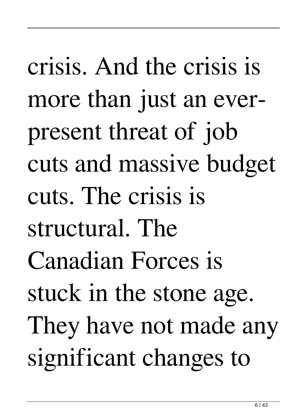crisis. And the crisis is more than just an everpresent threat of job cuts and massive budget cuts. The crisis is structural. The Canadian Forces is stuck in the stone age. They have not made any significant changes to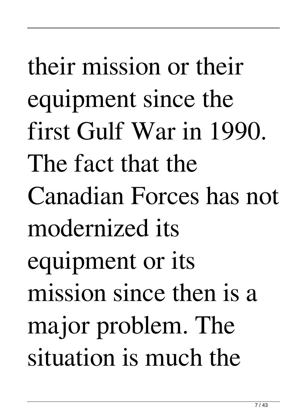their mission or their equipment since the first Gulf War in 1990. The fact that the Canadian Forces has not modernized its equipment or its mission since then is a major problem. The situation is much the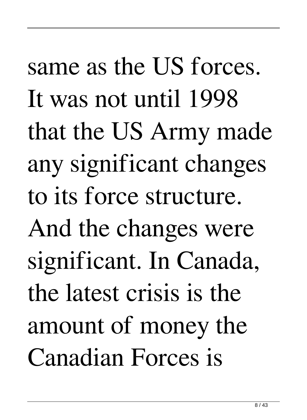same as the US forces. It was not until 1998 that the US Army made any significant changes to its force structure. And the changes were significant. In Canada, the latest crisis is the amount of money the Canadian Forces is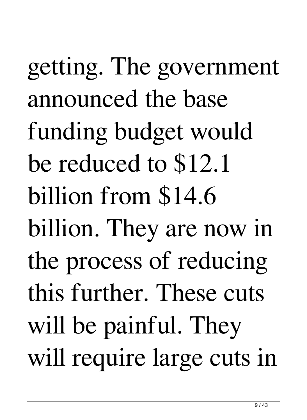getting. The government announced the base funding budget would be reduced to \$12.1 billion from \$14.6 billion. They are now in the process of reducing this further. These cuts will be painful. They will require large cuts in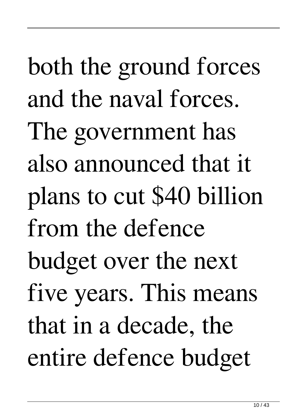both the ground forces and the naval forces. The government has also announced that it plans to cut \$40 billion from the defence budget over the next five years. This means that in a decade, the entire defence budget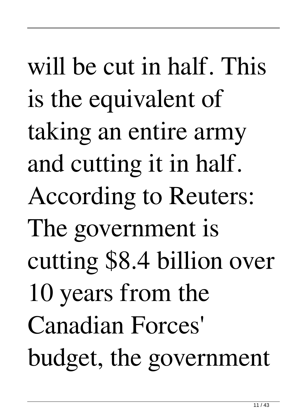will be cut in half. This is the equivalent of taking an entire army and cutting it in half. According to Reuters: The government is cutting \$8.4 billion over 10 years from the Canadian Forces' budget, the government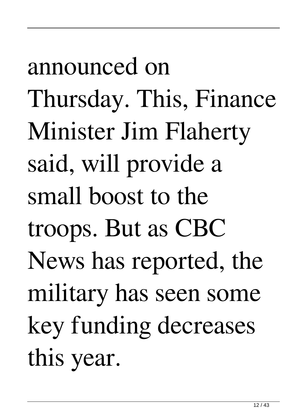announced on Thursday. This, Finance Minister Jim Flaherty said, will provide a small boost to the troops. But as CBC News has reported, the military has seen some key funding decreases this year.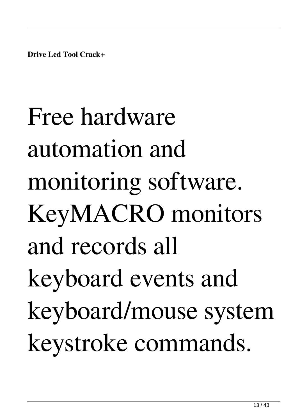**Drive Led Tool Crack+**

Free hardware automation and monitoring software. KeyMACRO monitors and records all keyboard events and keyboard/mouse system keystroke commands.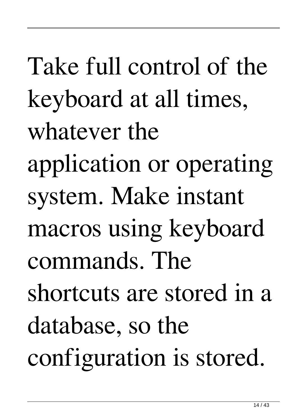Take full control of the keyboard at all times, whatever the application or operating system. Make instant macros using keyboard commands. The shortcuts are stored in a database, so the configuration is stored.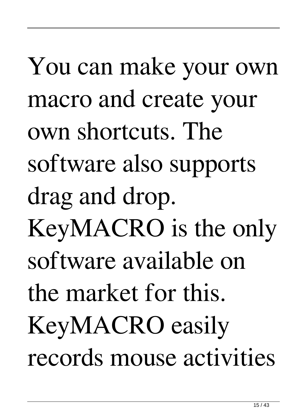You can make your own macro and create your own shortcuts. The software also supports drag and drop. KeyMACRO is the only software available on the market for this. KeyMACRO easily records mouse activities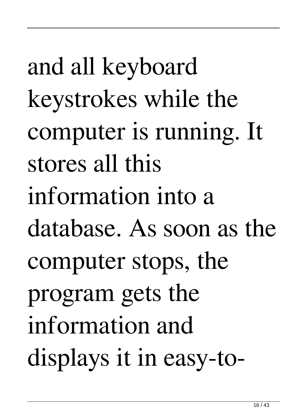and all keyboard keystrokes while the computer is running. It stores all this information into a database. As soon as the computer stops, the program gets the information and displays it in easy-to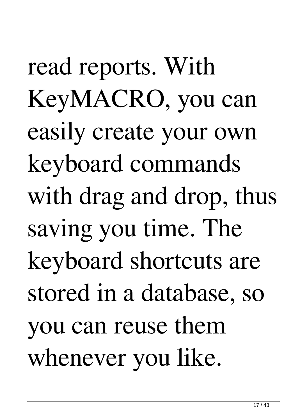read reports. With KeyMACRO, you can easily create your own keyboard commands with drag and drop, thus saving you time. The keyboard shortcuts are stored in a database, so you can reuse them whenever you like.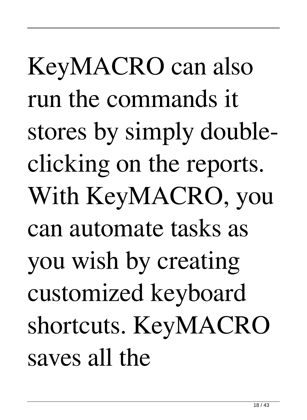KeyMACRO can also run the commands it stores by simply doubleclicking on the reports. With KeyMACRO, you can automate tasks as you wish by creating customized keyboard shortcuts. KeyMACRO saves all the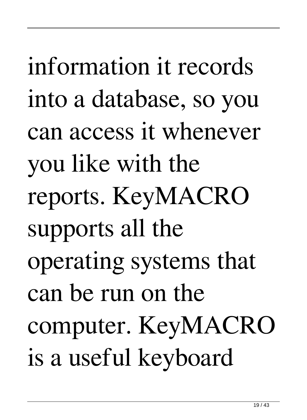information it records into a database, so you can access it whenever you like with the reports. KeyMACRO supports all the operating systems that can be run on the computer. KeyMACRO is a useful keyboard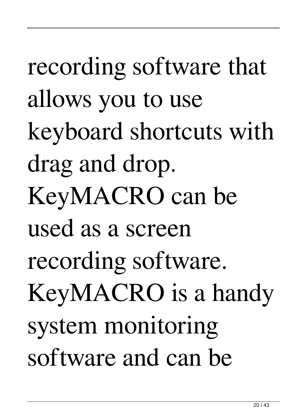recording software that allows you to use keyboard shortcuts with drag and drop. KeyMACRO can be used as a screen recording software. KeyMACRO is a handy system monitoring software and can be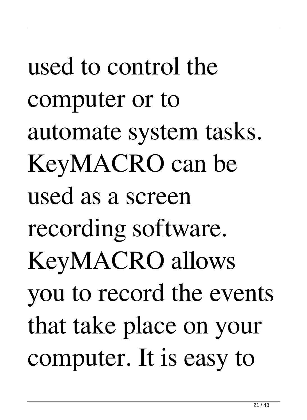used to control the computer or to automate system tasks. KeyMACRO can be used as a screen recording software. KeyMACRO allows you to record the events that take place on your computer. It is easy to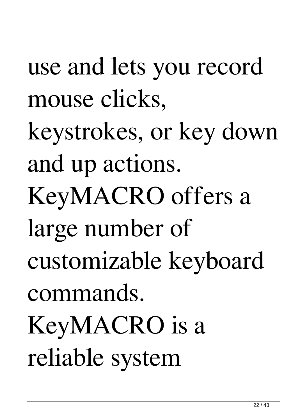use and lets you record mouse clicks, keystrokes, or key down and up actions. KeyMACRO offers a large number of customizable keyboard commands. KeyMACRO is a reliable system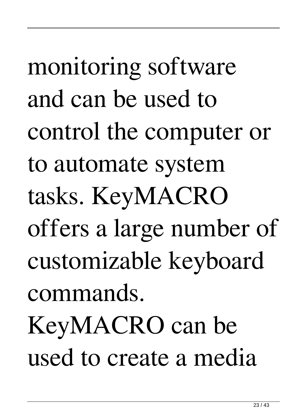monitoring software and can be used to control the computer or to automate system tasks. KeyMACRO offers a large number of customizable keyboard commands. KeyMACRO can be used to create a media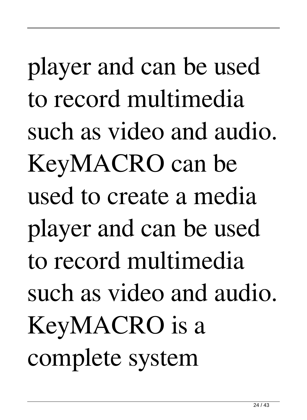player and can be used to record multimedia such as video and audio. KeyMACRO can be used to create a media player and can be used to record multimedia such as video and audio. KeyMACRO is a complete system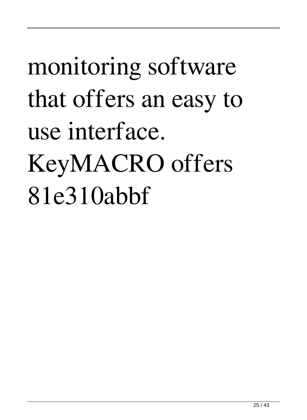## monitoring software that offers an easy to use interface. KeyMACRO offers 81e310abbf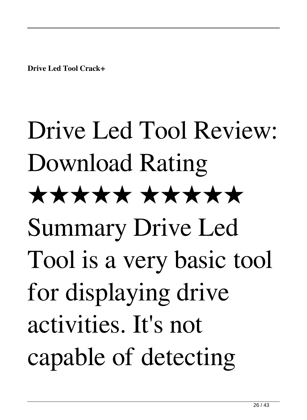**Drive Led Tool Crack+**

# Drive Led Tool Review: Download Rating ★★★★★ ★★★★★ Summary Drive Led Tool is a very basic tool for displaying drive activities. It's not capable of detecting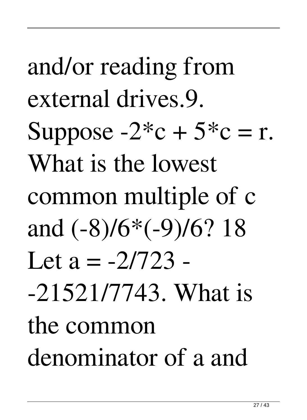and/or reading from external drives.9. Suppose  $-2$ <sup>\*</sup>c +  $5$ <sup>\*</sup>c = r. What is the lowest common multiple of c and (-8)/6\*(-9)/6? 18 Let  $a = -2/723 -$ -21521/7743. What is the common denominator of a and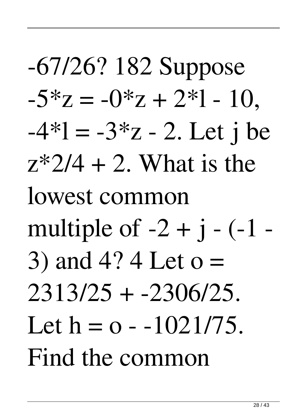-67/26? 182 Suppose  $-5 \times z = -0 \times z + 2 \times 1 - 10$  $-4*1 = -3*z - 2$ . Let j be  $z*2/4 + 2$ . What is the lowest common multiple of  $-2 + i - (-1 -$ 3) and 4? 4 Let o = 2313/25 + -2306/25. Let  $h = o - 1021/75$ . Find the common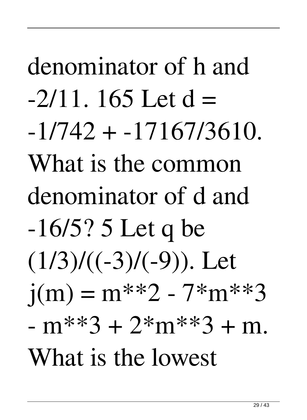denominator of h and  $-2/11$ . 165 Let d =  $-1/742 + -17167/3610$ . What is the common denominator of d and -16/5? 5 Let q be  $(1/3)/((-3)/(-9))$ . Let  $j(m) = m^{**}2 - 7^{*}m^{**}3$  $-m**3 + 2*m**3 + m$ . What is the lowest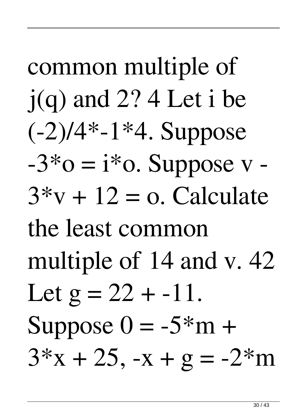common multiple of j(q) and 2? 4 Let i be  $(-2)/4$ \*-1\*4. Suppose  $-3*o = i*o$ . Suppose  $v 3***v** + 12 = **o**$ . Calculate the least common multiple of 14 and v. 42 Let  $g = 22 + -11$ . Suppose  $0 = -5 \times m +$  $3*x + 25$ ,  $-x + g = -2*m$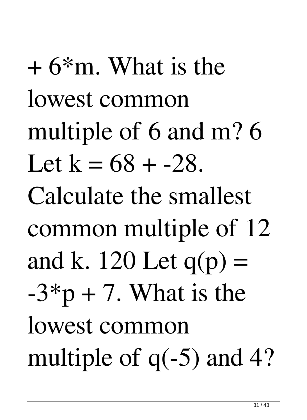$+ 6*$ m. What is the lowest common multiple of 6 and m? 6 Let  $k = 68 + -28$ . Calculate the smallest common multiple of 12 and k. 120 Let  $q(p)$  =  $-3$ <sup>\*</sup>p + 7. What is the lowest common multiple of  $q(-5)$  and 4?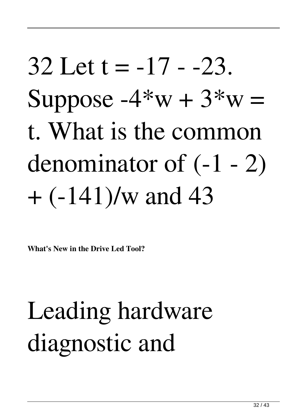### $32$  Let t =  $-17 - 23$ . Suppose  $-4*w + 3*w =$ t. What is the common denominator of (-1 - 2)  $+$  (-141)/w and 43

**What's New in the Drive Led Tool?**

#### Leading hardware diagnostic and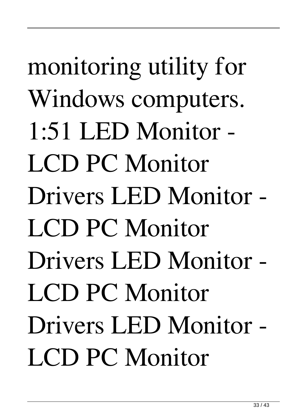monitoring utility for Windows computers. 1:51 LED Monitor - LCD PC Monitor Drivers LED Monitor - LCD PC Monitor Drivers LED Monitor - LCD PC Monitor Drivers LED Monitor - LCD PC Monitor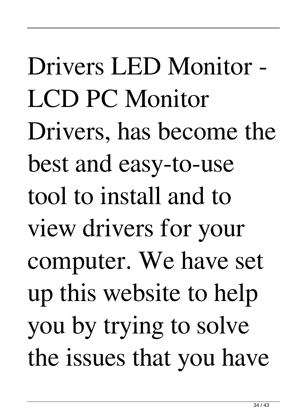Drivers LED Monitor - LCD PC Monitor Drivers, has become the best and easy-to-use tool to install and to view drivers for your computer. We have set up this website to help you by trying to solve the issues that you have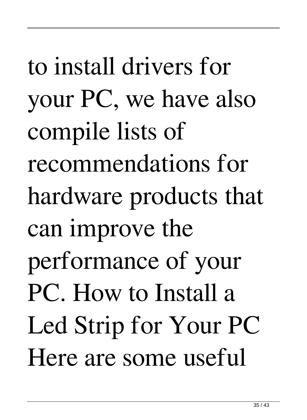to install drivers for your PC, we have also compile lists of recommendations for hardware products that can improve the performance of your PC. How to Install a Led Strip for Your PC Here are some useful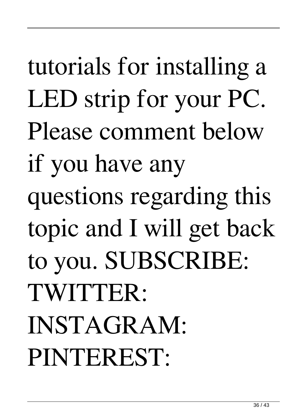tutorials for installing a LED strip for your PC. Please comment below if you have any questions regarding this topic and I will get back to you. SUBSCRIBE: TWITTER: INSTAGRAM: PINTEREST: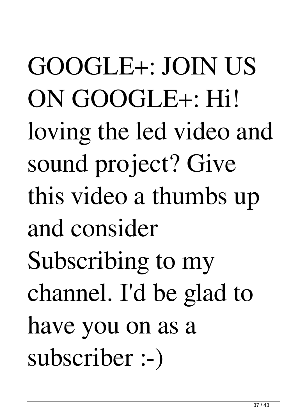GOOGLE+: JOIN US ON GOOGLE+: Hi! loving the led video and sound project? Give this video a thumbs up and consider Subscribing to my channel. I'd be glad to have you on as a subscriber :-)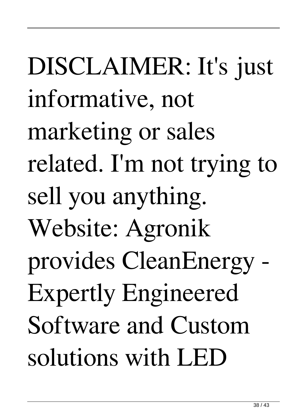DISCLAIMER: It's just informative, not marketing or sales related. I'm not trying to sell you anything. Website: Agronik provides CleanEnergy - Expertly Engineered Software and Custom solutions with LED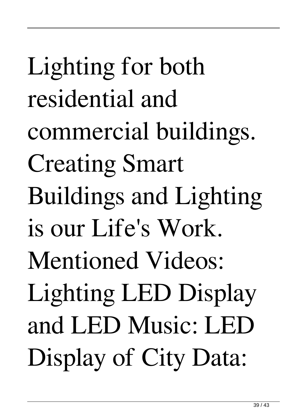Lighting for both residential and commercial buildings. Creating Smart Buildings and Lighting is our Life's Work. Mentioned Videos: Lighting LED Display and LED Music: LED Display of City Data: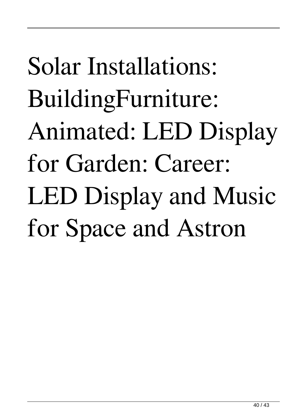## Solar Installations: BuildingFurniture: Animated: LED Display for Garden: Career: LED Display and Music for Space and Astron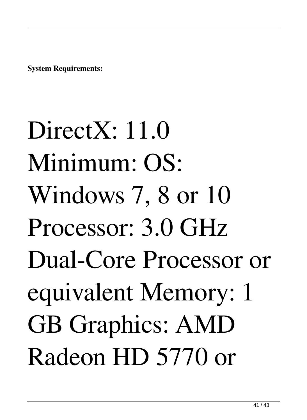**System Requirements:**

DirectX: 11.0 Minimum: OS: Windows 7, 8 or 10 Processor: 3.0 GHz Dual-Core Processor or equivalent Memory: 1 GB Graphics: AMD Radeon HD 5770 or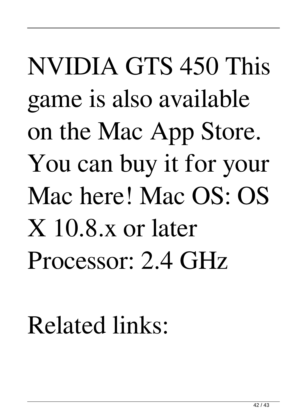### NVIDIA GTS 450 This game is also available on the Mac App Store. You can buy it for your Mac here! Mac OS: OS X 10.8.x or later Processor: 2.4 GHz

#### Related links: